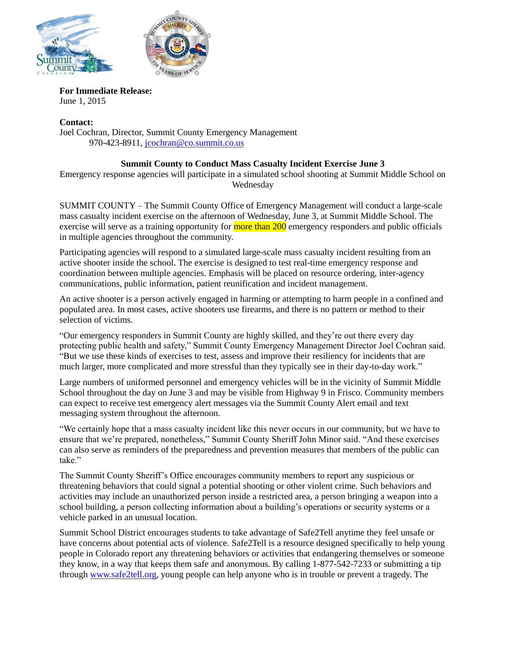



**For Immediate Release:** June 1, 2015

**Contact:** Joel Cochran, Director, Summit County Emergency Management 970-423-8911, [jcochran@co.summit.co.us](mailto:jcochran@co.summit.co.us)

## **Summit County to Conduct Mass Casualty Incident Exercise June 3**

Emergency response agencies will participate in a simulated school shooting at Summit Middle School on Wednesday

SUMMIT COUNTY – The Summit County Office of Emergency Management will conduct a large-scale mass casualty incident exercise on the afternoon of Wednesday, June 3, at Summit Middle School. The exercise will serve as a training opportunity for more than 200 emergency responders and public officials in multiple agencies throughout the community.

Participating agencies will respond to a simulated large-scale mass casualty incident resulting from an active shooter inside the school. The exercise is designed to test real-time emergency response and coordination between multiple agencies. Emphasis will be placed on resource ordering, inter-agency communications, public information, patient reunification and incident management.

An active shooter is a person actively engaged in harming or attempting to harm people in a confined and populated area. In most cases, active shooters use firearms, and there is no pattern or method to their selection of victims.

"Our emergency responders in Summit County are highly skilled, and they're out there every day protecting public health and safety," Summit County Emergency Management Director Joel Cochran said. "But we use these kinds of exercises to test, assess and improve their resiliency for incidents that are much larger, more complicated and more stressful than they typically see in their day-to-day work."

Large numbers of uniformed personnel and emergency vehicles will be in the vicinity of Summit Middle School throughout the day on June 3 and may be visible from Highway 9 in Frisco. Community members can expect to receive test emergency alert messages via the Summit County Alert email and text messaging system throughout the afternoon.

"We certainly hope that a mass casualty incident like this never occurs in our community, but we have to ensure that we're prepared, nonetheless," Summit County Sheriff John Minor said. "And these exercises can also serve as reminders of the preparedness and prevention measures that members of the public can take."

The Summit County Sheriff's Office encourages community members to report any suspicious or threatening behaviors that could signal a potential shooting or other violent crime. Such behaviors and activities may include an unauthorized person inside a restricted area, a person bringing a weapon into a school building, a person collecting information about a building's operations or security systems or a vehicle parked in an unusual location.

Summit School District encourages students to take advantage of Safe2Tell anytime they feel unsafe or have concerns about potential acts of violence. Safe2Tell is a resource designed specifically to help young people in Colorado report any threatening behaviors or activities that endangering themselves or someone they know, in a way that keeps them safe and anonymous. By calling 1-877-542-7233 or submitting a tip through [www.safe2tell.org,](http://www.safe2tell.org/) young people can help anyone who is in trouble or prevent a tragedy. The